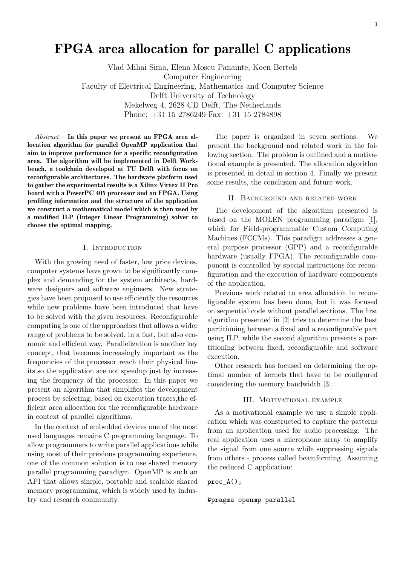# FPGA area allocation for parallel C applications

Vlad-Mihai Sima, Elena Moscu Panainte, Koen Bertels Computer Engineering Faculty of Electrical Engineering, Mathematics and Computer Science Delft University of Technology Mekelweg 4, 2628 CD Delft, The Netherlands Phone: +31 15 2786249 Fax: +31 15 2784898

 $Abstract$ — In this paper we present an FPGA area allocation algorithm for parallel OpenMP application that aim to improve performance for a specific reconfiguration area. The algorithm will be implemented in Delft Workbench, a toolchain developed at TU Delft with focus on reconfigurable architectures. The hardware platform used to gather the experimental results is a Xilinx Virtex II Pro board with a PowerPC 405 processor and an FPGA. Using profiling information and the structure of the application we construct a mathematical model which is then used by a modified ILP (Integer Linear Programming) solver to choose the optimal mapping.

#### I. Introduction

With the growing need of faster, low price devices, computer systems have grown to be significantly complex and demanding for the system architects, hardware designers and software engineers. New strategies have been proposed to use efficiently the resources while new problems have been introduced that have to be solved with the given resources. Reconfigurable computing is one of the approaches that allows a wider range of problems to be solved, in a fast, but also economic and efficient way. Parallelization is another key concept, that becomes increasingly important as the frequencies of the processor reach their physical limits so the application are not speedup just by increasing the frequency of the processor. In this paper we present an algorithm that simplifies the development process by selecting, based on execution traces,the efficient area allocation for the reconfigurable hardware in context of parallel algorithms.

In the context of embedded devices one of the most used languages remains C programming language. To allow programmers to write parallel applications while using most of their previous programming experience, one of the common solution is to use shared memory parallel programming paradigm. OpenMP is such an API that allows simple, portable and scalable shared memory programming, which is widely used by industry and research community.

The paper is organized in seven sections. We present the background and related work in the following section. The problem is outlined and a motivational example is presented. The allocation algorithm is presented in detail in section 4. Finally we present some results, the conclusion and future work.

## II. Background and related work

The development of the algorithm presented is based on the MOLEN programming paradigm [1], which for Field-programmable Custom Computing Machines (FCCMs). This paradigm addresses a general purpose processor (GPP) and a reconfigurable hardware (usually FPGA). The reconfigurable component is controlled by special instructions for reconfiguration and the execution of hardware components of the application.

Previous work related to area allocation in reconfigurable system has been done, but it was focused on sequential code without parallel sections. The first algorithm presented in [2] tries to determine the best partitioning between a fixed and a reconfigurable part using ILP, while the second algorithm presents a partitioning between fixed, reconfigurable and software execution.

Other research has focused on determining the optimal number of kernels that have to be configured considering the memory bandwidth [3].

## III. Motivational example

As a motivational example we use a simple application which was constructed to capture the patterns from an application used for audio processing. The real application uses a microphone array to amplify the signal from one source while suppressing signals from others - process called beamforming. Assuming the reduced C application:

```
proc_A();
```
#pragma openmp parallel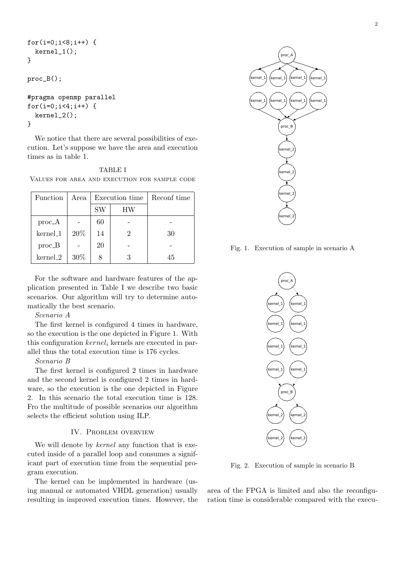```
for(i=0; i<8; i++) {
  kernel_1();
}
proc_B();
#pragma openmp parallel
for(i=0;i<4;i++) {
  kernel_2();
}
```
We notice that there are several possibilities of execution. Let's suppose we have the area and execution times as in table 1.

TABLE I Values for area and execution for sample code

| <b>Function</b> | Area   | Execution time |    | Reconf time |
|-----------------|--------|----------------|----|-------------|
|                 |        | SW             | ΗW |             |
| $proc_A$        |        | 60             |    |             |
| kernel_1        | 20%    | 14             |    | 30          |
| $proc_B$        |        | 20             |    |             |
| kernel_2        | $30\%$ |                |    | 45          |

For the software and hardware features of the application presented in Table I we describe two basic scenarios. Our algorithm will try to determine automatically the best scenario.

# Scenario A

The first kernel is configured 4 times in hardware, so the execution is the one depicted in Figure 1. With this configuration  $kernel_i$  kernels are executed in parallel thus the total execution time is 176 cycles.

## Scenario B

The first kernel is configured 2 times in hardware and the second kernel is configured 2 times in hardware, so the execution is the one depicted in Figure 2. In this scenario the total execution time is 128. Fro the multitude of possible scenarios our algorithm selects the efficient solution using ILP.

## IV. PROBLEM OVERVIEW

We will denote by *kernel* any function that is executed inside of a parallel loop and consumes a significant part of execution time from the sequential program execution.

The kernel can be implemented in hardware (using manual or automated VHDL generation) usually resulting in improved execution times. However, the



Fig. 1. Execution of sample in scenario A



Fig. 2. Execution of sample in scenario B

area of the FPGA is limited and also the reconfiguration time is considerable compared with the execu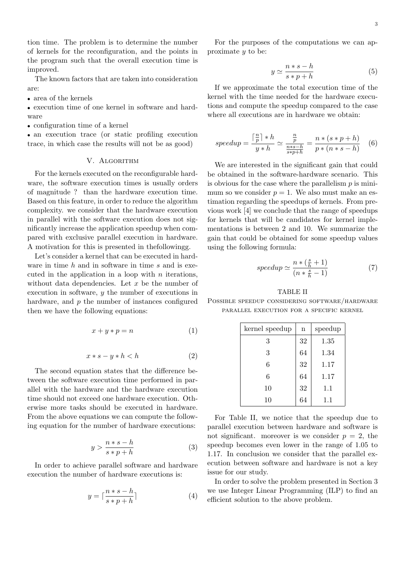tion time. The problem is to determine the number of kernels for the reconfiguration, and the points in the program such that the overall execution time is improved.

The known factors that are taken into consideration are:

• area of the kernels

• execution time of one kernel in software and hardware

• configuration time of a kernel

• an execution trace (or static profiling execution trace, in which case the results will not be as good)

# V. ALGORITHM

For the kernels executed on the reconfigurable hardware, the software execution times is usually orders of magnitude ? than the hardware execution time. Based on this feature, in order to reduce the algorithm complexity. we consider that the hardware execution in parallel with the software execution does not significantly increase the application speedup when compared with exclusive parallel execution in hardware. A motivation for this is presented in thefollowingg.

Let's consider a kernel that can be executed in hardware in time  $h$  and in software in time  $s$  and is executed in the application in a loop with  $n$  iterations, without data dependencies. Let  $x$  be the number of execution in software,  $y$  the number of executions in hardware, and  $p$  the number of instances configured then we have the following equations:

$$
x + y * p = n \tag{1}
$$

$$
x * s - y * h < h \tag{2}
$$

The second equation states that the difference between the software execution time performed in parallel with the hardware and the hardware execution time should not exceed one hardware execution. Otherwise more tasks should be executed in hardware. From the above equations we can compute the following equation for the number of hardware executions:

$$
y > \frac{n*s - h}{s*p + h} \tag{3}
$$

In order to achieve parallel software and hardware execution the number of hardware executions is:

$$
y = \lceil \frac{n+s-h}{s*p+h} \rceil \tag{4}
$$

For the purposes of the computations we can approximate y to be:

$$
y \simeq \frac{n*s - h}{s*p + h} \tag{5}
$$

If we approximate the total execution time of the kernel with the time needed for the hardware executions and compute the speedup compared to the case where all executions are in hardware we obtain:

$$
speedup = \frac{\lceil \frac{n}{p} \rceil * h}{y * h} \simeq \frac{\frac{n}{p}}{\frac{n*s - h}{s * p + h}} = \frac{n * (s * p + h)}{p * (n * s - h)} \quad (6)
$$

We are interested in the significant gain that could be obtained in the software-hardware scenario. This is obvious for the case where the parallelism  $p$  is minimum so we consider  $p = 1$ . We also must make an estimation regarding the speedups of kernels. From previous work [4] we conclude that the range of speedups for kernels that will be candidates for kernel implementations is between 2 and 10. We summarize the gain that could be obtained for some speedup values using the following formula:

$$
speedup \simeq \frac{n * (\frac{s}{h} + 1)}{(n * \frac{s}{h} - 1)}
$$
\n<sup>(7)</sup>

TABLE II Possible speedup considering software/hardware parallel execution for a specific kernel

| kernel speedup | $\mathbf n$ | speedup |
|----------------|-------------|---------|
| 3              | 32          | 1.35    |
| 3              | 64          | 1.34    |
| 6              | 32          | 1.17    |
| 6              | 64          | 1.17    |
| 10             | 32          | 1.1     |
| 10             | 64          | 1.1     |

For Table II, we notice that the speedup due to parallel execution between hardware and software is not significant. moreover is we consider  $p = 2$ , the speedup becomes even lower in the range of 1.05 to 1.17. In conclusion we consider that the parallel execution between software and hardware is not a key issue for our study.

In order to solve the problem presented in Section 3 we use Integer Linear Programming (ILP) to find an efficient solution to the above problem.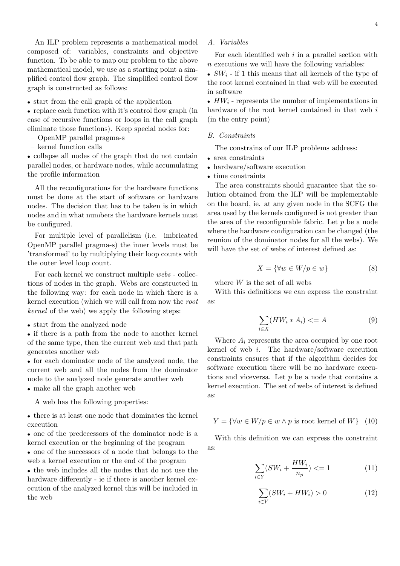An ILP problem represents a mathematical model composed of: variables, constraints and objective function. To be able to map our problem to the above mathematical model, we use as a starting point a simplified control flow graph. The simplified control flow graph is constructed as follows:

• start from the call graph of the application

• replace each function with it's control flow graph (in case of recursive functions or loops in the call graph eliminate those functions). Keep special nodes for:

- OpenMP parallel pragma-s
- kernel function calls

• collapse all nodes of the graph that do not contain parallel nodes, or hardware nodes, while accumulating the profile information

All the reconfigurations for the hardware functions must be done at the start of software or hardware nodes. The decision that has to be taken is in which nodes and in what numbers the hardware kernels must be configured.

For multiple level of parallelism (i.e. imbricated OpenMP parallel pragma-s) the inner levels must be 'transformed' to by multiplying their loop counts with the outer level loop count.

For each kernel we construct multiple webs - collections of nodes in the graph. Webs are constructed in the following way: for each node in which there is a kernel execution (which we will call from now the root kernel of the web) we apply the following steps:

• start from the analyzed node

• if there is a path from the node to another kernel of the same type, then the current web and that path generates another web

• for each dominator node of the analyzed node, the current web and all the nodes from the dominator node to the analyzed node generate another web • make all the graph another web

A web has the following properties:

• there is at least one node that dominates the kernel execution

• one of the predecessors of the dominator node is a kernel execution or the beginning of the program

• one of the successors of a node that belongs to the web a kernel execution or the end of the program

• the web includes all the nodes that do not use the hardware differently - ie if there is another kernel execution of the analyzed kernel this will be included in the web

# A. Variables

For each identified web  $i$  in a parallel section with  $n$  executions we will have the following variables:

•  $SW_i$  - if 1 this means that all kernels of the type of the root kernel contained in that web will be executed in software

•  $HW_i$  - represents the number of implementations in hardware of the root kernel contained in that web i (in the entry point)

## B. Constraints

The constrains of our ILP problems address:

- area constraints
- hardware/software execution
- time constraints

The area constraints should guarantee that the solution obtained from the ILP will be implementable on the board, ie. at any given node in the SCFG the area used by the kernels configured is not greater than the area of the reconfigurable fabric. Let  $p$  be a node where the hardware configuration can be changed (the reunion of the dominator nodes for all the webs). We will have the set of webs of interest defined as:

$$
X = \{ \forall w \in W/p \in w \}
$$
 (8)

where  $W$  is the set of all webs

With this definitions we can express the constraint as:

$$
\sum_{i \in X} (HW_i * A_i) < = A \tag{9}
$$

Where  $A_i$  represents the area occupied by one root kernel of web i. The hardware/software execution constraints ensures that if the algorithm decides for software execution there will be no hardware executions and viceversa. Let  $p$  be a node that contains a kernel execution. The set of webs of interest is defined as:

$$
Y = \{ \forall w \in W/p \in w \land p \text{ is root kernel of } W \} \quad (10)
$$

With this definition we can express the constraint as:

$$
\sum_{i \in Y} (SW_i + \frac{HW_i}{n_p}) \le 1 \tag{11}
$$

$$
\sum_{i \in Y} (SW_i + HW_i) > 0 \tag{12}
$$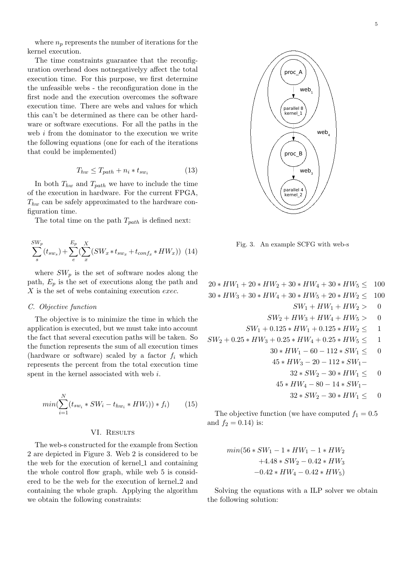where  $n_p$  represents the number of iterations for the kernel execution.

The time constraints guarantee that the reconfiguration overhead does notnegativelyy affect the total execution time. For this purpose, we first determine the unfeasible webs - the reconfiguration done in the first node and the execution overcomes the software execution time. There are webs and values for which this can't be determined as there can be other hardware or software executions. For all the paths in the web i from the dominator to the execution we write the following equations (one for each of the iterations that could be implemented)

$$
T_{hw} \leq T_{path} + n_i * t_{sw_i}
$$
\n<sup>(13)</sup>

In both  $T_{hw}$  and  $T_{path}$  we have to include the time of the execution in hardware. For the current FPGA,  $T_{hw}$  can be safely approximated to the hardware configuration time.

The total time on the path  $T_{path}$  is defined next:

$$
\sum_{s}^{SW_p} (t_{sw_s}) + \sum_{e}^{E_p} (\sum_{x}^{X} (SW_x * t_{sw_x} + t_{conf_x} * HW_x))
$$
 (14)

where  $SW_p$  is the set of software nodes along the path,  $E_p$  is the set of executions along the path and X is the set of webs containing execution exec.

## C. Objective function

The objective is to minimize the time in which the application is executed, but we must take into account the fact that several execution paths will be taken. So the function represents the sum of all execution times (hardware or software) scaled by a factor  $f_i$  which represents the percent from the total execution time spent in the kernel associated with web i.

$$
min(\sum_{i=1}^{N} (t_{sw_i} * SW_i - t_{hw_i} * HW_i)) * f_i)
$$
 (15)

#### VI. RESULTS

The web-s constructed for the example from Section 2 are depicted in Figure 3. Web 2 is considered to be the web for the execution of kernel 1 and containing the whole control flow graph, while web 5 is considered to be the web for the execution of kernel 2 and containing the whole graph. Applying the algorithm we obtain the following constraints:



Fig. 3. An example SCFG with web-s

 $20 * HW_1 + 20 * HW_2 + 30 * HW_4 + 30 * HW_5 \leq 100$  $30 * HW_3 + 30 * HW_4 + 30 * HW_5 + 20 * HW_2 \leq 100$  $SW_1 + HW_1 + HW_2 > 0$  $SW_2 + HW_3 + HW_4 + HW_5 > 0$  $SW_1 + 0.125 * HW_1 + 0.125 * HW_2 \leq 1$  $SW_2 + 0.25 * HW_3 + 0.25 * HW_4 + 0.25 * HW_5 \leq 1$  $30 * HW_1 - 60 - 112 * SW_1 \leq 0$  $45 * HW_3 - 20 - 112 * SW_1 32 * SW_2 - 30 * HW_1 \leq 0$  $45 * HW<sub>4</sub> - 80 - 14 * SW<sub>1</sub> 32 * SW_2 - 30 * HW_1 < 0$ 

The objective function (we have computed  $f_1 = 0.5$ and  $f_2 = 0.14$ ) is:

$$
min(56 * SW1 - 1 * HW1 - 1 * HW2+4.48 * SW2 - 0.42 * HW3-0.42 * HW4 - 0.42 * HW5)
$$

Solving the equations with a ILP solver we obtain the following solution: